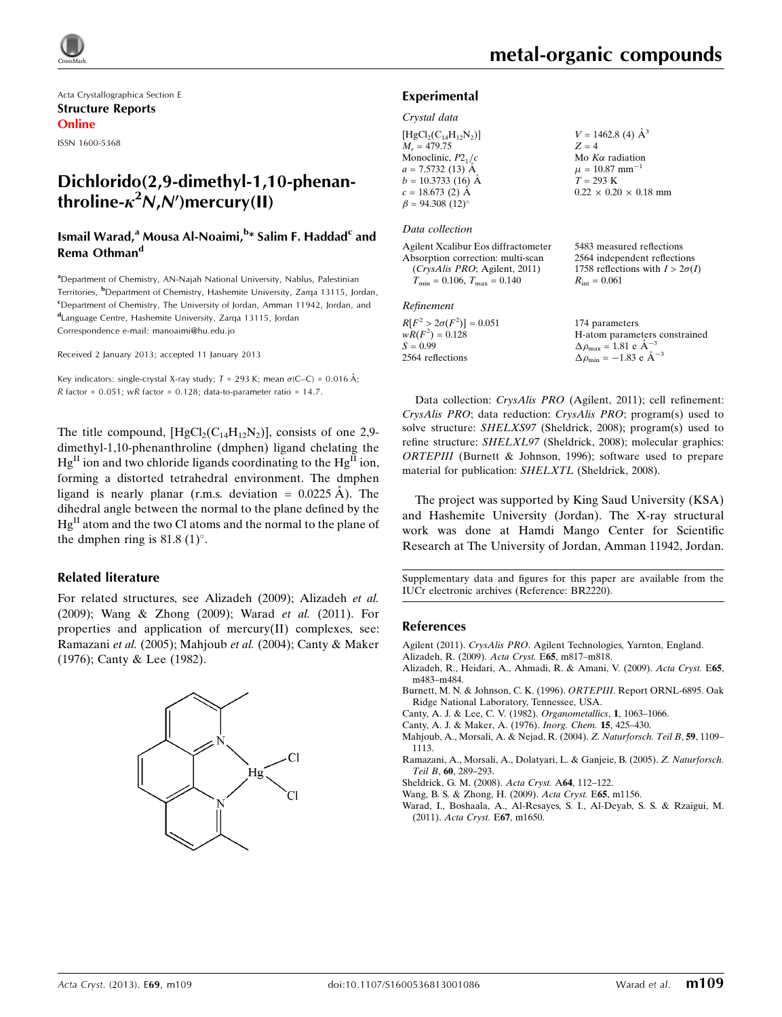

Acta Crystallographica Section E Structure Reports Online

ISSN 1600-5368

# Dichlorido(2,9-dimethyl-1,10-phenanthroline- $\kappa^2$ N,N')mercury(II)

## Ismail Warad,<sup>a</sup> Mousa Al-Noaimi,<sup>b</sup>\* Salim F. Haddad<sup>c</sup> and Rema Othman<sup>d</sup>

<sup>a</sup>Department of Chemistry, AN-Najah National University, Nablus, Palestinian Territories, <sup>b</sup>Department of Chemistry, Hashemite University, Zarqa 13115, Jordan, <sup>c</sup>Department of Chemistry, The University of Jordan, Amman 11942, Jordan, and d Language Centre, Hashemite University, Zarqa 13115, Jordan Correspondence e-mail: [manoaimi@hu.edu.jo](https://scripts.iucr.org/cgi-bin/cr.cgi?rm=pdfbb&cnor=br2220&bbid=BB11)

Received 2 January 2013; accepted 11 January 2013

Key indicators: single-crystal X-ray study;  $T$  = 293 K; mean  $\sigma$ (C–C) = 0.016 Å; R factor =  $0.051$ ; wR factor =  $0.128$ ; data-to-parameter ratio = 14.7.

The title compound,  $[HgCl_2(C_{14}H_{12}N_2)]$ , consists of one 2,9dimethyl-1,10-phenanthroline (dmphen) ligand chelating the  $Hg<sup>H</sup>$  ion and two chloride ligands coordinating to the  $Hg<sup>H</sup>$  ion, forming a distorted tetrahedral environment. The dmphen ligand is nearly planar (r.m.s. deviation =  $0.0225 \text{ Å}$ ). The dihedral angle between the normal to the plane defined by the  $Hg<sup>II</sup>$  atom and the two Cl atoms and the normal to the plane of the dmphen ring is  $81.8 \,(1)^\circ$ .

### Related literature

For related structures, see Alizadeh (2009); Alizadeh et al. (2009); Wang & Zhong (2009); Warad et al. (2011). For properties and application of mercury(II) complexes, see: Ramazani et al. (2005); Mahjoub et al. (2004); Canty & Maker (1976); Canty & Lee (1982).



5483 measured reflections 2564 independent reflections 1758 reflections with  $I > 2\sigma(I)$ 

 $R_{\text{int}} = 0.061$ 

### Experimental

### Crystal data

| $[HgCl2(C14H12N2)]$    | $V = 1462.8$ (4) $\AA^3$          |
|------------------------|-----------------------------------|
| $M_r = 479.75$         | $Z = 4$                           |
| Monoclinic, $P2_1/c$   | Mo $K\alpha$ radiation            |
| $a = 7.5732(13)$ Å     | $\mu = 10.87$ mm <sup>-1</sup>    |
| $b = 10.3733(16)$ Å    | $T = 293 K$                       |
| $c = 18.673$ (2) Å     | $0.22 \times 0.20 \times 0.18$ mm |
| $\beta = 94.308(12)$ ° |                                   |

#### Data collection

Agilent Xcalibur Eos diffractometer Absorption correction: multi-scan (CrysAlis PRO; Agilent, 2011)  $T_{\text{min}} = 0.106, T_{\text{max}} = 0.140$ 

### Refinement

| $R[F^2 > 2\sigma(F^2)] = 0.051$ | 174 parameters                                             |
|---------------------------------|------------------------------------------------------------|
| $wR(F^2) = 0.128$               | H-atom parameters constrained                              |
| $S = 0.99$                      | $\Delta \rho_{\text{max}} = 1.81 \text{ e} \text{ Å}^{-3}$ |
| 2564 reflections                | $\Delta \rho_{\text{min}} = -1.83$ e $\AA^{-3}$            |

Data collection: CrysAlis PRO (Agilent, 2011); cell refinement: CrysAlis PRO; data reduction: CrysAlis PRO; program(s) used to solve structure: SHELXS97 (Sheldrick, 2008); program(s) used to refine structure: SHELXL97 (Sheldrick, 2008); molecular graphics: ORTEPIII (Burnett & Johnson, 1996); software used to prepare material for publication: SHELXTL (Sheldrick, 2008).

The project was supported by King Saud University (KSA) and Hashemite University (Jordan). The X-ray structural work was done at Hamdi Mango Center for Scientific Research at The University of Jordan, Amman 11942, Jordan.

Supplementary data and figures for this paper are available from the IUCr electronic archives (Reference: BR2220).

#### References

- Agilent (2011). CrysAlis PRO[. Agilent Technologies, Yarnton, England.](https://scripts.iucr.org/cgi-bin/cr.cgi?rm=pdfbb&cnor=br2220&bbid=BB1)
- [Alizadeh, R. \(2009\).](https://scripts.iucr.org/cgi-bin/cr.cgi?rm=pdfbb&cnor=br2220&bbid=BB2) Acta Cryst. E65, m817–m818.
- [Alizadeh, R., Heidari, A., Ahmadi, R. & Amani, V. \(2009\).](https://scripts.iucr.org/cgi-bin/cr.cgi?rm=pdfbb&cnor=br2220&bbid=BB3) Acta Cryst. E65, [m483–m484.](https://scripts.iucr.org/cgi-bin/cr.cgi?rm=pdfbb&cnor=br2220&bbid=BB3)
- [Burnett, M. N. & Johnson, C. K. \(1996\).](https://scripts.iucr.org/cgi-bin/cr.cgi?rm=pdfbb&cnor=br2220&bbid=BB4) ORTEPIII. Report ORNL-6895. Oak [Ridge National Laboratory, Tennessee, USA.](https://scripts.iucr.org/cgi-bin/cr.cgi?rm=pdfbb&cnor=br2220&bbid=BB4)
- [Canty, A. J. & Lee, C. V. \(1982\).](https://scripts.iucr.org/cgi-bin/cr.cgi?rm=pdfbb&cnor=br2220&bbid=BB5) Organometallics, 1, 1063–1066.
- [Canty, A. J. & Maker, A. \(1976\).](https://scripts.iucr.org/cgi-bin/cr.cgi?rm=pdfbb&cnor=br2220&bbid=BB6) Inorg. Chem. 15, 425–430.
- [Mahjoub, A., Morsali, A. & Nejad, R. \(2004\).](https://scripts.iucr.org/cgi-bin/cr.cgi?rm=pdfbb&cnor=br2220&bbid=BB7) Z. Naturforsch. Teil B, 59, 1109– [1113.](https://scripts.iucr.org/cgi-bin/cr.cgi?rm=pdfbb&cnor=br2220&bbid=BB7)
- [Ramazani, A., Morsali, A., Dolatyari, L. & Ganjeie, B. \(2005\).](https://scripts.iucr.org/cgi-bin/cr.cgi?rm=pdfbb&cnor=br2220&bbid=BB8) Z. Naturforsch. Teil B, 60[, 289–293.](https://scripts.iucr.org/cgi-bin/cr.cgi?rm=pdfbb&cnor=br2220&bbid=BB8)
- [Sheldrick, G. M. \(2008\).](https://scripts.iucr.org/cgi-bin/cr.cgi?rm=pdfbb&cnor=br2220&bbid=BB9) Acta Cryst. A64, 112–122.
- [Wang, B. S. & Zhong, H. \(2009\).](https://scripts.iucr.org/cgi-bin/cr.cgi?rm=pdfbb&cnor=br2220&bbid=BB10) Acta Cryst. E65, m1156.
- [Warad, I., Boshaala, A., Al-Resayes, S. I., Al-Deyab, S. S. & Rzaigui, M.](https://scripts.iucr.org/cgi-bin/cr.cgi?rm=pdfbb&cnor=br2220&bbid=BB11) (2011). [Acta Cryst.](https://scripts.iucr.org/cgi-bin/cr.cgi?rm=pdfbb&cnor=br2220&bbid=BB11) E67, m1650.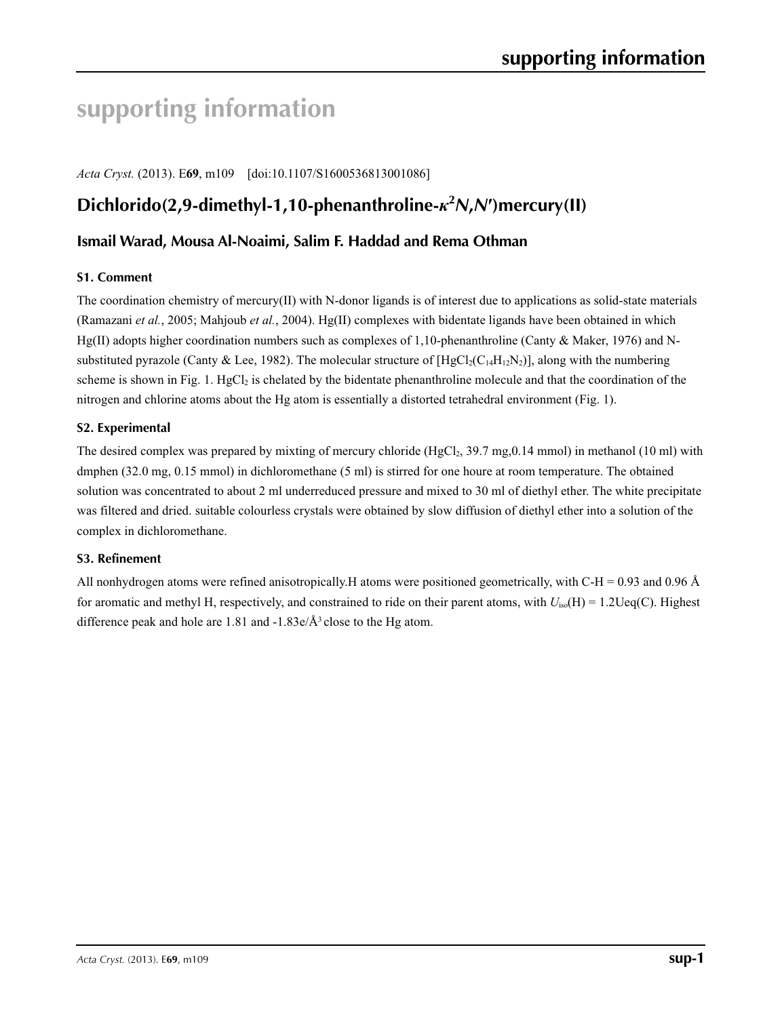# **supporting information**

*Acta Cryst.* (2013). E**69**, m109 [doi:10.1107/S1600536813001086]

# **Dichlorido(2,9-dimethyl-1,10-phenanthroline-***κ***<sup>2</sup>** *N***,***N***′)mercury(II)**

# **Ismail Warad, Mousa Al-Noaimi, Salim F. Haddad and Rema Othman**

## **S1. Comment**

The coordination chemistry of mercury(II) with N-donor ligands is of interest due to applications as solid-state materials (Ramazani *et al.*, 2005; Mahjoub *et al.*, 2004). Hg(II) complexes with bidentate ligands have been obtained in which Hg(II) adopts higher coordination numbers such as complexes of 1,10-phenanthroline (Canty & Maker, 1976) and Nsubstituted pyrazole (Canty & Lee, 1982). The molecular structure of  $[HgCl_2(C_{14}H_{12}N_2)]$ , along with the numbering scheme is shown in Fig. 1.  $HgCl<sub>2</sub>$  is chelated by the bidentate phenanthroline molecule and that the coordination of the nitrogen and chlorine atoms about the Hg atom is essentially a distorted tetrahedral environment (Fig. 1).

## **S2. Experimental**

The desired complex was prepared by mixting of mercury chloride  $(HgCl<sub>2</sub>, 39.7 mg, 0.14 mmol)$  in methanol (10 ml) with dmphen (32.0 mg, 0.15 mmol) in dichloromethane (5 ml) is stirred for one houre at room temperature. The obtained solution was concentrated to about 2 ml underreduced pressure and mixed to 30 ml of diethyl ether. The white precipitate was filtered and dried. suitable colourless crystals were obtained by slow diffusion of diethyl ether into a solution of the complex in dichloromethane.

## **S3. Refinement**

All nonhydrogen atoms were refined anisotropically. H atoms were positioned geometrically, with  $C-H = 0.93$  and 0.96 Å for aromatic and methyl H, respectively, and constrained to ride on their parent atoms, with  $U_{iso}(H) = 1.2 \text{Ueq}(C)$ . Highest difference peak and hole are 1.81 and  $-1.83e/\AA$ <sup>3</sup> close to the Hg atom.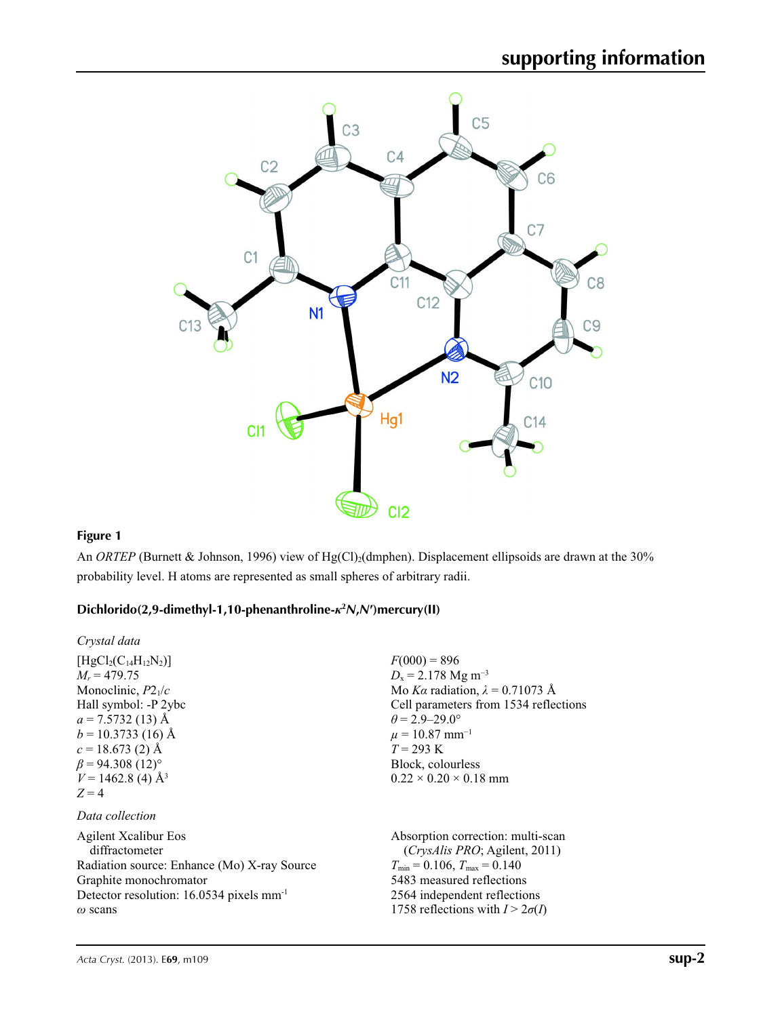

# **Figure 1**

An *ORTEP* (Burnett & Johnson, 1996) view of Hg(Cl)<sub>2</sub>(dmphen). Displacement ellipsoids are drawn at the 30% probability level. H atoms are represented as small spheres of arbitrary radii.

# **Dichlorido(2,9-dimethyl-1,10-phenanthroline-***κ***<sup>2</sup>** *N***,***N***′)mercury(II)**

| Crystal data                                                |                                         |
|-------------------------------------------------------------|-----------------------------------------|
| $[HgCl_2(C_{14}H_{12}N_2)]$                                 | $F(000) = 896$                          |
| $M_r = 479.75$                                              | $D_x = 2.178$ Mg m <sup>-3</sup>        |
| Monoclinic, $P2_1/c$                                        | Mo Ka radiation, $\lambda = 0.71073$ Å  |
| Hall symbol: -P 2ybc                                        | Cell parameters from 1534 reflections   |
| $a = 7.5732(13)$ Å                                          | $\theta$ = 2.9–29.0°                    |
| $b = 10.3733(16)$ Å                                         | $\mu = 10.87$ mm <sup>-1</sup>          |
| $c = 18.673$ (2) Å                                          | $T = 293 \text{ K}$                     |
| $\beta$ = 94.308 (12) <sup>o</sup>                          | Block, colourless                       |
| $V = 1462.8$ (4) Å <sup>3</sup><br>$Z=4$<br>Data collection | $0.22 \times 0.20 \times 0.18$ mm       |
| <b>Agilent Xcalibur Eos</b>                                 | Absorption correction: multi-scan       |
| diffractometer                                              | (CrysAlis PRO; Agilent, 2011)           |
| Radiation source: Enhance (Mo) X-ray Source                 | $T_{\min} = 0.106$ , $T_{\max} = 0.140$ |
| Graphite monochromator                                      | 5483 measured reflections               |
| Detector resolution: 16.0534 pixels mm <sup>-1</sup>        | 2564 independent reflections            |
| $\omega$ scans                                              | 1758 reflections with $I > 2\sigma(I)$  |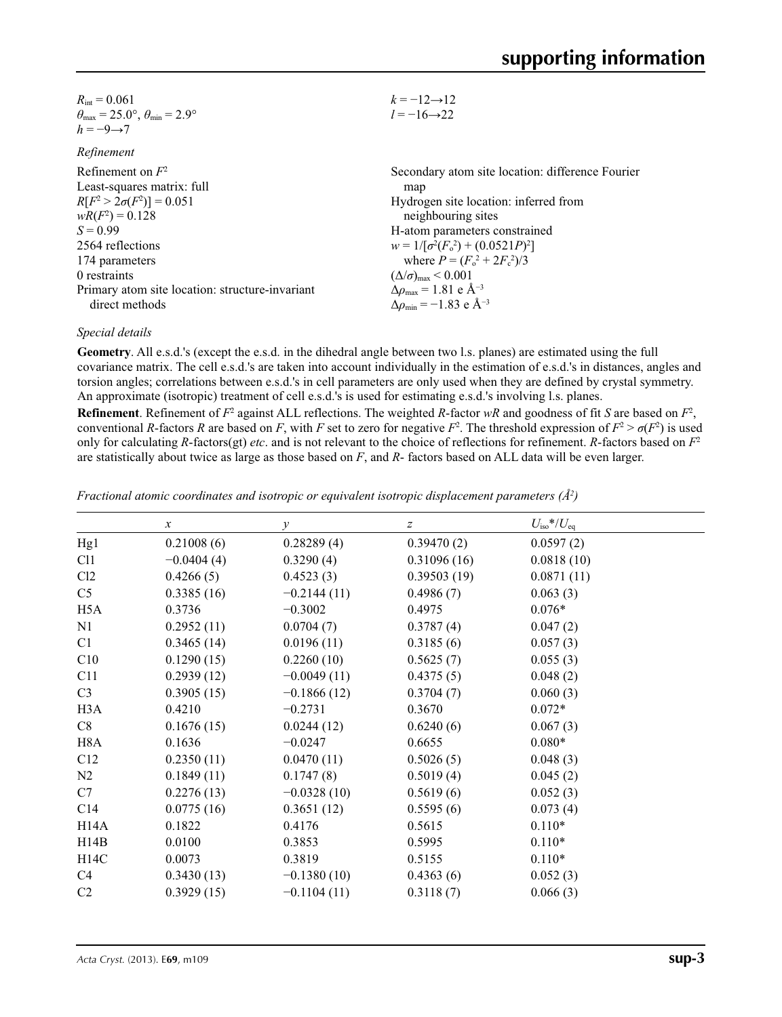| $R_{\text{int}} = 0.061$                                                   | $k = -12 \rightarrow 12$                                     |
|----------------------------------------------------------------------------|--------------------------------------------------------------|
| $\theta_{\text{max}} = 25.0^{\circ}$ , $\theta_{\text{min}} = 2.9^{\circ}$ | $l = -16 \rightarrow 22$                                     |
| $h = -9 \rightarrow 7$                                                     |                                                              |
| Refinement                                                                 |                                                              |
| Refinement on $F^2$                                                        | Secondary atom site location: difference Fourier             |
| Least-squares matrix: full                                                 | map                                                          |
| $R[F^2 > 2\sigma(F^2)] = 0.051$                                            | Hydrogen site location: inferred from                        |
| $wR(F^2) = 0.128$                                                          | neighbouring sites                                           |
| $S = 0.99$                                                                 | H-atom parameters constrained                                |
| 2564 reflections                                                           | $w = 1/[\sigma^2(F_0^2) + (0.0521P)^2]$                      |
| 174 parameters                                                             | where $P = (F_0^2 + 2F_c^2)/3$                               |
| 0 restraints                                                               | $(\Delta/\sigma)_{\text{max}}$ < 0.001                       |
| Primary atom site location: structure-invariant                            | $\Delta \rho_{\text{max}} = 1.81 \text{ e } \text{\AA}^{-3}$ |
| direct methods                                                             | $\Delta\rho_{\rm min} = -1.83$ e Å <sup>-3</sup>             |
|                                                                            |                                                              |

### *Special details*

**Geometry**. All e.s.d.'s (except the e.s.d. in the dihedral angle between two l.s. planes) are estimated using the full covariance matrix. The cell e.s.d.'s are taken into account individually in the estimation of e.s.d.'s in distances, angles and torsion angles; correlations between e.s.d.'s in cell parameters are only used when they are defined by crystal symmetry. An approximate (isotropic) treatment of cell e.s.d.'s is used for estimating e.s.d.'s involving l.s. planes.

**Refinement**. Refinement of  $F^2$  against ALL reflections. The weighted *R*-factor  $wR$  and goodness of fit *S* are based on  $F^2$ , conventional *R*-factors *R* are based on *F*, with *F* set to zero for negative *F*<sup>2</sup>. The threshold expression of  $F^2 > \sigma(F^2)$  is used only for calculating *R*-factors(gt) *etc*. and is not relevant to the choice of reflections for refinement. *R*-factors based on *F*<sup>2</sup> are statistically about twice as large as those based on *F*, and *R*- factors based on ALL data will be even larger.

| Fractional atomic coordinates and isotropic or equivalent isotropic displacement parameters $(\hat{A}^2)$ |  |  |  |
|-----------------------------------------------------------------------------------------------------------|--|--|--|
|                                                                                                           |  |  |  |

|                   | $\boldsymbol{\chi}$ | $\mathcal{Y}$ | $\boldsymbol{Z}$ | $U_{\rm iso}*/U_{\rm eq}$ |  |
|-------------------|---------------------|---------------|------------------|---------------------------|--|
| Hg1               | 0.21008(6)          | 0.28289(4)    | 0.39470(2)       | 0.0597(2)                 |  |
|                   |                     |               |                  |                           |  |
| C11               | $-0.0404(4)$        | 0.3290(4)     | 0.31096(16)      | 0.0818(10)                |  |
| Cl2               | 0.4266(5)           | 0.4523(3)     | 0.39503(19)      | 0.0871(11)                |  |
| C <sub>5</sub>    | 0.3385(16)          | $-0.2144(11)$ | 0.4986(7)        | 0.063(3)                  |  |
| H <sub>5</sub> A  | 0.3736              | $-0.3002$     | 0.4975           | $0.076*$                  |  |
| N1                | 0.2952(11)          | 0.0704(7)     | 0.3787(4)        | 0.047(2)                  |  |
| C1                | 0.3465(14)          | 0.0196(11)    | 0.3185(6)        | 0.057(3)                  |  |
| C10               | 0.1290(15)          | 0.2260(10)    | 0.5625(7)        | 0.055(3)                  |  |
| C11               | 0.2939(12)          | $-0.0049(11)$ | 0.4375(5)        | 0.048(2)                  |  |
| C <sub>3</sub>    | 0.3905(15)          | $-0.1866(12)$ | 0.3704(7)        | 0.060(3)                  |  |
| H3A               | 0.4210              | $-0.2731$     | 0.3670           | $0.072*$                  |  |
| C8                | 0.1676(15)          | 0.0244(12)    | 0.6240(6)        | 0.067(3)                  |  |
| H <sub>8</sub> A  | 0.1636              | $-0.0247$     | 0.6655           | $0.080*$                  |  |
| C12               | 0.2350(11)          | 0.0470(11)    | 0.5026(5)        | 0.048(3)                  |  |
| N2                | 0.1849(11)          | 0.1747(8)     | 0.5019(4)        | 0.045(2)                  |  |
| C7                | 0.2276(13)          | $-0.0328(10)$ | 0.5619(6)        | 0.052(3)                  |  |
| C14               | 0.0775(16)          | 0.3651(12)    | 0.5595(6)        | 0.073(4)                  |  |
| H <sub>14</sub> A | 0.1822              | 0.4176        | 0.5615           | $0.110*$                  |  |
| H14B              | 0.0100              | 0.3853        | 0.5995           | $0.110*$                  |  |
| H14C              | 0.0073              | 0.3819        | 0.5155           | $0.110*$                  |  |
| C4                | 0.3430(13)          | $-0.1380(10)$ | 0.4363(6)        | 0.052(3)                  |  |
| C <sub>2</sub>    | 0.3929(15)          | $-0.1104(11)$ | 0.3118(7)        | 0.066(3)                  |  |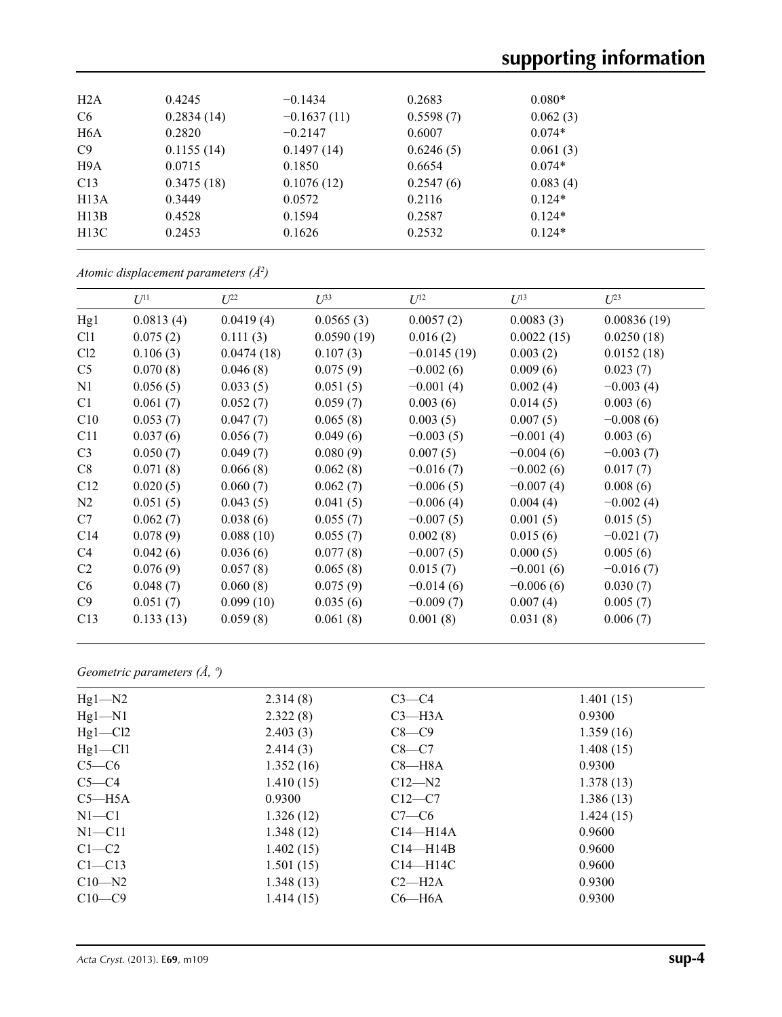| H2A              | 0.4245     | $-0.1434$     | 0.2683    | $0.080*$ |  |
|------------------|------------|---------------|-----------|----------|--|
| C <sub>6</sub>   | 0.2834(14) | $-0.1637(11)$ | 0.5598(7) | 0.062(3) |  |
| H <sub>6</sub> A | 0.2820     | $-0.2147$     | 0.6007    | $0.074*$ |  |
| C9               | 0.1155(14) | 0.1497(14)    | 0.6246(5) | 0.061(3) |  |
| H <sub>9</sub> A | 0.0715     | 0.1850        | 0.6654    | $0.074*$ |  |
| C13              | 0.3475(18) | 0.1076(12)    | 0.2547(6) | 0.083(4) |  |
| H13A             | 0.3449     | 0.0572        | 0.2116    | $0.124*$ |  |
| H13B             | 0.4528     | 0.1594        | 0.2587    | $0.124*$ |  |
| H13C             | 0.2453     | 0.1626        | 0.2532    | $0.124*$ |  |
|                  |            |               |           |          |  |

*Atomic displacement parameters (Å2 )*

|                 | $U^{11}$  | $U^{22}$   | $U^{33}$   | $U^{12}$      | $U^{13}$    | $U^{23}$    |
|-----------------|-----------|------------|------------|---------------|-------------|-------------|
| Hg1             | 0.0813(4) | 0.0419(4)  | 0.0565(3)  | 0.0057(2)     | 0.0083(3)   | 0.00836(19) |
| C <sub>11</sub> | 0.075(2)  | 0.111(3)   | 0.0590(19) | 0.016(2)      | 0.0022(15)  | 0.0250(18)  |
| Cl2             | 0.106(3)  | 0.0474(18) | 0.107(3)   | $-0.0145(19)$ | 0.003(2)    | 0.0152(18)  |
| C <sub>5</sub>  | 0.070(8)  | 0.046(8)   | 0.075(9)   | $-0.002(6)$   | 0.009(6)    | 0.023(7)    |
| N1              | 0.056(5)  | 0.033(5)   | 0.051(5)   | $-0.001(4)$   | 0.002(4)    | $-0.003(4)$ |
| C1              | 0.061(7)  | 0.052(7)   | 0.059(7)   | 0.003(6)      | 0.014(5)    | 0.003(6)    |
| C10             | 0.053(7)  | 0.047(7)   | 0.065(8)   | 0.003(5)      | 0.007(5)    | $-0.008(6)$ |
| C11             | 0.037(6)  | 0.056(7)   | 0.049(6)   | $-0.003(5)$   | $-0.001(4)$ | 0.003(6)    |
| C <sub>3</sub>  | 0.050(7)  | 0.049(7)   | 0.080(9)   | 0.007(5)      | $-0.004(6)$ | $-0.003(7)$ |
| C8              | 0.071(8)  | 0.066(8)   | 0.062(8)   | $-0.016(7)$   | $-0.002(6)$ | 0.017(7)    |
| C12             | 0.020(5)  | 0.060(7)   | 0.062(7)   | $-0.006(5)$   | $-0.007(4)$ | 0.008(6)    |
| N2              | 0.051(5)  | 0.043(5)   | 0.041(5)   | $-0.006(4)$   | 0.004(4)    | $-0.002(4)$ |
| C7              | 0.062(7)  | 0.038(6)   | 0.055(7)   | $-0.007(5)$   | 0.001(5)    | 0.015(5)    |
| C <sub>14</sub> | 0.078(9)  | 0.088(10)  | 0.055(7)   | 0.002(8)      | 0.015(6)    | $-0.021(7)$ |
| C4              | 0.042(6)  | 0.036(6)   | 0.077(8)   | $-0.007(5)$   | 0.000(5)    | 0.005(6)    |
| C <sub>2</sub>  | 0.076(9)  | 0.057(8)   | 0.065(8)   | 0.015(7)      | $-0.001(6)$ | $-0.016(7)$ |
| C <sub>6</sub>  | 0.048(7)  | 0.060(8)   | 0.075(9)   | $-0.014(6)$   | $-0.006(6)$ | 0.030(7)    |
| C9              | 0.051(7)  | 0.099(10)  | 0.035(6)   | $-0.009(7)$   | 0.007(4)    | 0.005(7)    |
| C13             | 0.133(13) | 0.059(8)   | 0.061(8)   | 0.001(8)      | 0.031(8)    | 0.006(7)    |

# *Geometric parameters (Å, º)*

| $Hg1 - N2$  | 2.314(8)  | $C3-C4$      | 1.401(15) |
|-------------|-----------|--------------|-----------|
| $Hg1-N1$    | 2.322(8)  | $C3$ —H $3A$ | 0.9300    |
| $Hg1-C12$   | 2.403(3)  | $C8-C9$      | 1.359(16) |
| $Hg1 - Cl1$ | 2.414(3)  | $C8-C7$      | 1.408(15) |
| $C5-C6$     | 1.352(16) | $C8 - H8A$   | 0.9300    |
| $C5-C4$     | 1.410(15) | $C12-M2$     | 1.378(13) |
| $C5 - H5A$  | 0.9300    | $C12-C7$     | 1.386(13) |
| $N1 - C1$   | 1.326(12) | $C7-C6$      | 1.424(15) |
| $N1 - C11$  | 1.348(12) | $C14 - H14A$ | 0.9600    |
| $C1-C2$     | 1.402(15) | $C14 - H14B$ | 0.9600    |
| $C1 - C13$  | 1.501(15) | $C14 - H14C$ | 0.9600    |
| $C10-M2$    | 1.348(13) | $C2-H2A$     | 0.9300    |
| $C10-C9$    | 1.414(15) | $C6 - H6A$   | 0.9300    |
|             |           |              |           |